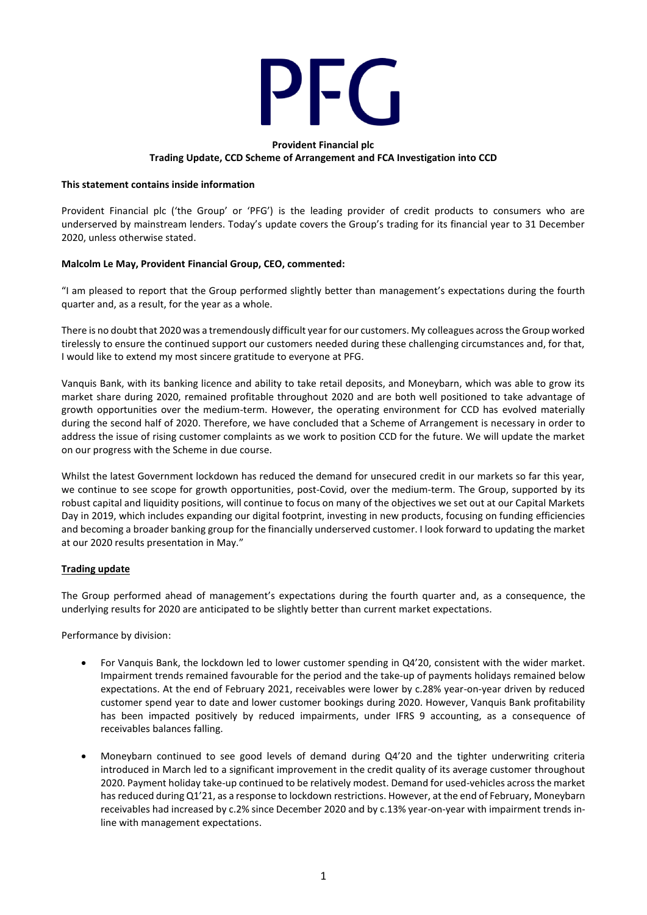

#### **Provident Financial plc Trading Update, CCD Scheme of Arrangement and FCA Investigation into CCD**

#### **This statement contains inside information**

Provident Financial plc ('the Group' or 'PFG') is the leading provider of credit products to consumers who are underserved by mainstream lenders. Today's update covers the Group's trading for its financial year to 31 December 2020, unless otherwise stated.

### **Malcolm Le May, Provident Financial Group, CEO, commented:**

"I am pleased to report that the Group performed slightly better than management's expectations during the fourth quarter and, as a result, for the year as a whole.

There is no doubt that 2020 was a tremendously difficult year for our customers. My colleagues across the Group worked tirelessly to ensure the continued support our customers needed during these challenging circumstances and, for that, I would like to extend my most sincere gratitude to everyone at PFG.

Vanquis Bank, with its banking licence and ability to take retail deposits, and Moneybarn, which was able to grow its market share during 2020, remained profitable throughout 2020 and are both well positioned to take advantage of growth opportunities over the medium-term. However, the operating environment for CCD has evolved materially during the second half of 2020. Therefore, we have concluded that a Scheme of Arrangement is necessary in order to address the issue of rising customer complaints as we work to position CCD for the future. We will update the market on our progress with the Scheme in due course.

Whilst the latest Government lockdown has reduced the demand for unsecured credit in our markets so far this year, we continue to see scope for growth opportunities, post-Covid, over the medium-term. The Group, supported by its robust capital and liquidity positions, will continue to focus on many of the objectives we set out at our Capital Markets Day in 2019, which includes expanding our digital footprint, investing in new products, focusing on funding efficiencies and becoming a broader banking group for the financially underserved customer. I look forward to updating the market at our 2020 results presentation in May."

### **Trading update**

The Group performed ahead of management's expectations during the fourth quarter and, as a consequence, the underlying results for 2020 are anticipated to be slightly better than current market expectations.

Performance by division:

- For Vanquis Bank, the lockdown led to lower customer spending in Q4'20, consistent with the wider market. Impairment trends remained favourable for the period and the take-up of payments holidays remained below expectations. At the end of February 2021, receivables were lower by c.28% year-on-year driven by reduced customer spend year to date and lower customer bookings during 2020. However, Vanquis Bank profitability has been impacted positively by reduced impairments, under IFRS 9 accounting, as a consequence of receivables balances falling.
- Moneybarn continued to see good levels of demand during Q4'20 and the tighter underwriting criteria introduced in March led to a significant improvement in the credit quality of its average customer throughout 2020. Payment holiday take-up continued to be relatively modest. Demand for used-vehicles across the market has reduced during Q1'21, as a response to lockdown restrictions. However, at the end of February, Moneybarn receivables had increased by c.2% since December 2020 and by c.13% year-on-year with impairment trends inline with management expectations.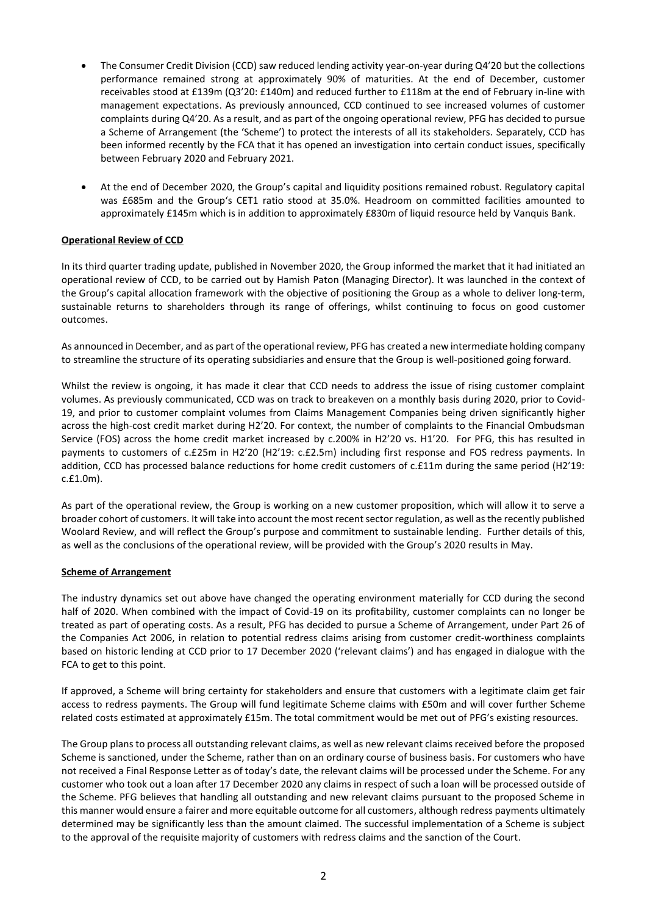- The Consumer Credit Division (CCD) saw reduced lending activity year-on-year during Q4'20 but the collections performance remained strong at approximately 90% of maturities. At the end of December, customer receivables stood at £139m (Q3'20: £140m) and reduced further to £118m at the end of February in-line with management expectations. As previously announced, CCD continued to see increased volumes of customer complaints during Q4'20. As a result, and as part of the ongoing operational review, PFG has decided to pursue a Scheme of Arrangement (the 'Scheme') to protect the interests of all its stakeholders. Separately, CCD has been informed recently by the FCA that it has opened an investigation into certain conduct issues, specifically between February 2020 and February 2021.
- At the end of December 2020, the Group's capital and liquidity positions remained robust. Regulatory capital was £685m and the Group's CET1 ratio stood at 35.0%. Headroom on committed facilities amounted to approximately £145m which is in addition to approximately £830m of liquid resource held by Vanquis Bank.

# **Operational Review of CCD**

In its third quarter trading update, published in November 2020, the Group informed the market that it had initiated an operational review of CCD, to be carried out by Hamish Paton (Managing Director). It was launched in the context of the Group's capital allocation framework with the objective of positioning the Group as a whole to deliver long-term, sustainable returns to shareholders through its range of offerings, whilst continuing to focus on good customer outcomes.

As announced in December, and as part of the operational review, PFG has created a new intermediate holding company to streamline the structure of its operating subsidiaries and ensure that the Group is well-positioned going forward.

Whilst the review is ongoing, it has made it clear that CCD needs to address the issue of rising customer complaint volumes. As previously communicated, CCD was on track to breakeven on a monthly basis during 2020, prior to Covid-19, and prior to customer complaint volumes from Claims Management Companies being driven significantly higher across the high-cost credit market during H2'20. For context, the number of complaints to the Financial Ombudsman Service (FOS) across the home credit market increased by c.200% in H2'20 vs. H1'20. For PFG, this has resulted in payments to customers of c.£25m in H2'20 (H2'19: c.£2.5m) including first response and FOS redress payments. In addition, CCD has processed balance reductions for home credit customers of c.£11m during the same period (H2'19: c.£1.0m).

As part of the operational review, the Group is working on a new customer proposition, which will allow it to serve a broader cohort of customers. It will take into account the most recent sector regulation, as well as the recently published Woolard Review, and will reflect the Group's purpose and commitment to sustainable lending. Further details of this, as well as the conclusions of the operational review, will be provided with the Group's 2020 results in May.

### **Scheme of Arrangement**

The industry dynamics set out above have changed the operating environment materially for CCD during the second half of 2020. When combined with the impact of Covid-19 on its profitability, customer complaints can no longer be treated as part of operating costs. As a result, PFG has decided to pursue a Scheme of Arrangement, under Part 26 of the Companies Act 2006, in relation to potential redress claims arising from customer credit-worthiness complaints based on historic lending at CCD prior to 17 December 2020 ('relevant claims') and has engaged in dialogue with the FCA to get to this point.

If approved, a Scheme will bring certainty for stakeholders and ensure that customers with a legitimate claim get fair access to redress payments. The Group will fund legitimate Scheme claims with £50m and will cover further Scheme related costs estimated at approximately £15m. The total commitment would be met out of PFG's existing resources.

The Group plans to process all outstanding relevant claims, as well as new relevant claims received before the proposed Scheme is sanctioned, under the Scheme, rather than on an ordinary course of business basis. For customers who have not received a Final Response Letter as of today's date, the relevant claims will be processed under the Scheme. For any customer who took out a loan after 17 December 2020 any claims in respect of such a loan will be processed outside of the Scheme. PFG believes that handling all outstanding and new relevant claims pursuant to the proposed Scheme in this manner would ensure a fairer and more equitable outcome for all customers, although redress payments ultimately determined may be significantly less than the amount claimed. The successful implementation of a Scheme is subject to the approval of the requisite majority of customers with redress claims and the sanction of the Court.